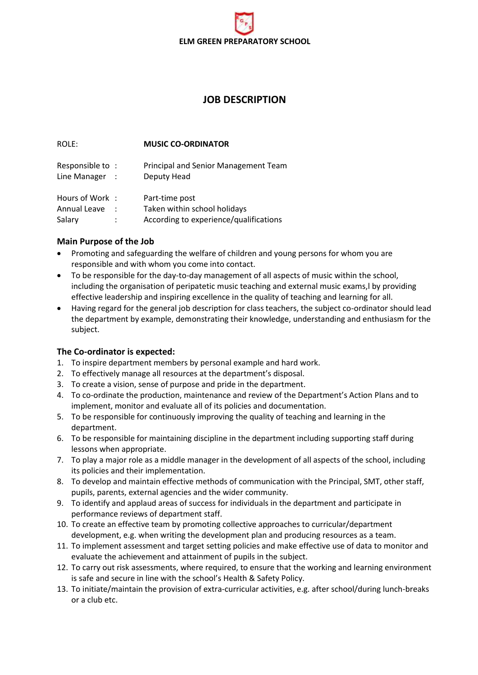# **ELM GREEN PREPARATORY SCHOOL**

## **JOB DESCRIPTION**

| ROLE:                                    |           | <b>MUSIC CO-ORDINATOR</b>                                                                |
|------------------------------------------|-----------|------------------------------------------------------------------------------------------|
| Responsible to:<br>Line Manager          | $\sim$ 1. | Principal and Senior Management Team<br>Deputy Head                                      |
| Hours of Work:<br>Annual Leave<br>Salary |           | Part-time post<br>Taken within school holidays<br>According to experience/qualifications |

## **Main Purpose of the Job**

- Promoting and safeguarding the welfare of children and young persons for whom you are responsible and with whom you come into contact.
- To be responsible for the day-to-day management of all aspects of music within the school, including the organisation of peripatetic music teaching and external music exams,l by providing effective leadership and inspiring excellence in the quality of teaching and learning for all.
- Having regard for the general job description for class teachers, the subject co-ordinator should lead the department by example, demonstrating their knowledge, understanding and enthusiasm for the subject.

## **The Co-ordinator is expected:**

- 1. To inspire department members by personal example and hard work.
- 2. To effectively manage all resources at the department's disposal.
- 3. To create a vision, sense of purpose and pride in the department.
- 4. To co-ordinate the production, maintenance and review of the Department's Action Plans and to implement, monitor and evaluate all of its policies and documentation.
- 5. To be responsible for continuously improving the quality of teaching and learning in the department.
- 6. To be responsible for maintaining discipline in the department including supporting staff during lessons when appropriate.
- 7. To play a major role as a middle manager in the development of all aspects of the school, including its policies and their implementation.
- 8. To develop and maintain effective methods of communication with the Principal, SMT, other staff, pupils, parents, external agencies and the wider community.
- 9. To identify and applaud areas of success for individuals in the department and participate in performance reviews of department staff.
- 10. To create an effective team by promoting collective approaches to curricular/department development, e.g. when writing the development plan and producing resources as a team.
- 11. To implement assessment and target setting policies and make effective use of data to monitor and evaluate the achievement and attainment of pupils in the subject.
- 12. To carry out risk assessments, where required, to ensure that the working and learning environment is safe and secure in line with the school's Health & Safety Policy.
- 13. To initiate/maintain the provision of extra-curricular activities, e.g. after school/during lunch-breaks or a club etc.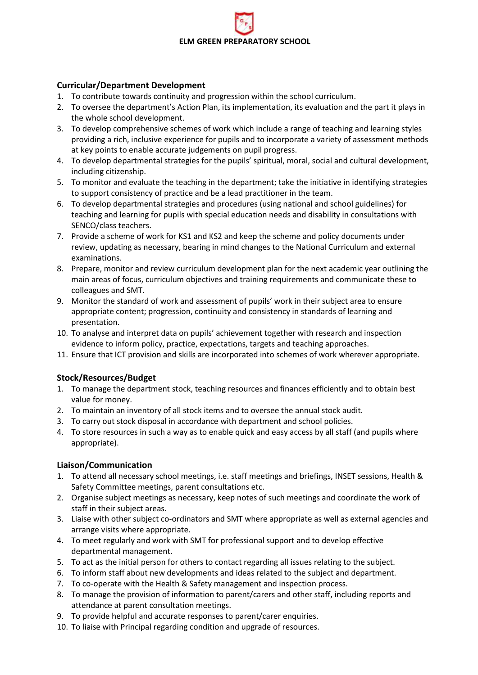## **ELM GREEN PREPARATORY SCHOOL**

## **Curricular/Department Development**

- 1. To contribute towards continuity and progression within the school curriculum.
- 2. To oversee the department's Action Plan, its implementation, its evaluation and the part it plays in the whole school development.
- 3. To develop comprehensive schemes of work which include a range of teaching and learning styles providing a rich, inclusive experience for pupils and to incorporate a variety of assessment methods at key points to enable accurate judgements on pupil progress.
- 4. To develop departmental strategies for the pupils' spiritual, moral, social and cultural development, including citizenship.
- 5. To monitor and evaluate the teaching in the department; take the initiative in identifying strategies to support consistency of practice and be a lead practitioner in the team.
- 6. To develop departmental strategies and procedures (using national and school guidelines) for teaching and learning for pupils with special education needs and disability in consultations with SENCO/class teachers.
- 7. Provide a scheme of work for KS1 and KS2 and keep the scheme and policy documents under review, updating as necessary, bearing in mind changes to the National Curriculum and external examinations.
- 8. Prepare, monitor and review curriculum development plan for the next academic year outlining the main areas of focus, curriculum objectives and training requirements and communicate these to colleagues and SMT.
- 9. Monitor the standard of work and assessment of pupils' work in their subject area to ensure appropriate content; progression, continuity and consistency in standards of learning and presentation.
- 10. To analyse and interpret data on pupils' achievement together with research and inspection evidence to inform policy, practice, expectations, targets and teaching approaches.
- 11. Ensure that ICT provision and skills are incorporated into schemes of work wherever appropriate.

## **Stock/Resources/Budget**

- 1. To manage the department stock, teaching resources and finances efficiently and to obtain best value for money.
- 2. To maintain an inventory of all stock items and to oversee the annual stock audit.
- 3. To carry out stock disposal in accordance with department and school policies.
- 4. To store resources in such a way as to enable quick and easy access by all staff (and pupils where appropriate).

## **Liaison/Communication**

- 1. To attend all necessary school meetings, i.e. staff meetings and briefings, INSET sessions, Health & Safety Committee meetings, parent consultations etc.
- 2. Organise subject meetings as necessary, keep notes of such meetings and coordinate the work of staff in their subject areas.
- 3. Liaise with other subject co-ordinators and SMT where appropriate as well as external agencies and arrange visits where appropriate.
- 4. To meet regularly and work with SMT for professional support and to develop effective departmental management.
- 5. To act as the initial person for others to contact regarding all issues relating to the subject.
- 6. To inform staff about new developments and ideas related to the subject and department.
- 7. To co-operate with the Health & Safety management and inspection process.
- 8. To manage the provision of information to parent/carers and other staff, including reports and attendance at parent consultation meetings.
- 9. To provide helpful and accurate responses to parent/carer enquiries.
- 10. To liaise with Principal regarding condition and upgrade of resources.